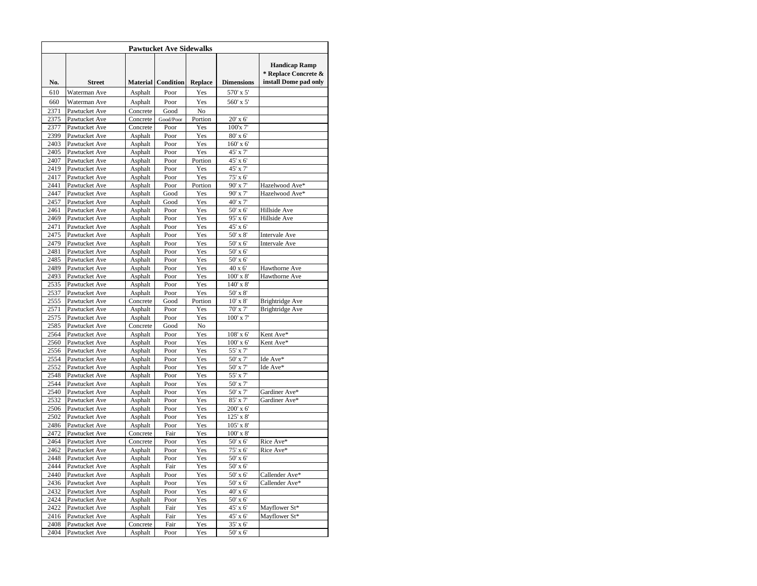|              |                                |                    | <b>Pawtucket Ave Sidewalks</b>                 |                |                             |                                                                       |
|--------------|--------------------------------|--------------------|------------------------------------------------|----------------|-----------------------------|-----------------------------------------------------------------------|
| No.          | <b>Street</b>                  | <b>Material</b>    | Condition                                      | <b>Replace</b> | <b>Dimensions</b>           | <b>Handicap Ramp</b><br>* Replace Concrete &<br>install Dome pad only |
| 610          | Waterman Ave                   | Asphalt            | Poor                                           | Yes            | $570^{\circ}$ x $5^{\circ}$ |                                                                       |
| 660          | Waterman Ave                   | Asphalt            | Poor                                           | Yes            | 560' x 5'                   |                                                                       |
| 2371         | Pawtucket Ave                  | Concrete           | Good                                           | No             |                             |                                                                       |
| 2375         | Pawtucket Ave                  | Concrete           | ${\mathbf G} \text{ood}/\mathbf{P} \text{oor}$ | Portion        | 20' x 6'                    |                                                                       |
| 2377         | Pawtucket Ave                  | Concrete           | Poor                                           | Yes            | 100'x 7'                    |                                                                       |
| 2399         | Pawtucket Ave                  | Asphalt            | Poor                                           | Yes            | 80' x 6'                    |                                                                       |
| 2403         | Pawtucket Ave                  | Asphalt            | Poor                                           | Yes            | 160' x 6'                   |                                                                       |
| 2405         | Pawtucket Ave                  | Asphalt            | Poor                                           | Yes            | 45' x 7'                    |                                                                       |
| 2407         | Pawtucket Ave                  | Asphalt            | Poor                                           | Portion        | 45' x 6'                    |                                                                       |
| 2419         | Pawtucket Ave                  | Asphalt            | Poor                                           | Yes            | 45' x 7'                    |                                                                       |
| 2417         | Pawtucket Ave                  | Asphalt            | Poor                                           | Yes            | 75' x 6'                    |                                                                       |
| 2441         | Pawtucket Ave                  | Asphalt            | Poor                                           | Portion        | 90' x 7'                    | Hazelwood Ave*                                                        |
| 2447         | Pawtucket Ave                  | Asphalt            | Good                                           | Yes            | 90' x 7'                    | Hazelwood Ave*                                                        |
| 2457         | Pawtucket Ave                  | Asphalt            | Good                                           | Yes            | 40' x 7'                    |                                                                       |
| 2461         | Pawtucket Ave                  | Asphalt            | Poor                                           | Yes            | 50' x 6'                    | Hillside Ave                                                          |
| 2469         | Pawtucket Ave                  | Asphalt            | Poor                                           | Yes            | 95' x 6'                    | Hillside Ave                                                          |
| 2471<br>2475 | Pawtucket Ave<br>Pawtucket Ave | Asphalt<br>Asphalt | Poor<br>Poor                                   | Yes<br>Yes     | 45' x 6'<br>50' x 8'        | Intervale Ave                                                         |
| 2479         | Pawtucket Ave                  | Asphalt            | Poor                                           | Yes            | 50' x 6'                    | <b>Intervale Ave</b>                                                  |
| 2481         | Pawtucket Ave                  | Asphalt            | Poor                                           | Yes            | 50' x 6'                    |                                                                       |
| 2485         | Pawtucket Ave                  | Asphalt            | Poor                                           | Yes            | 50' x 6'                    |                                                                       |
| 2489         | Pawtucket Ave                  | Asphalt            | Poor                                           | Yes            | 40 x 6'                     | Hawthorne Ave                                                         |
| 2493         | Pawtucket Ave                  | Asphalt            | Poor                                           | Yes            | 100' x 8'                   | Hawthorne Ave                                                         |
| 2535         | Pawtucket Ave                  | Asphalt            | Poor                                           | Yes            | 140' x 8'                   |                                                                       |
| 2537         | Pawtucket Ave                  | Asphalt            | Poor                                           | Yes            | 50' x 8'                    |                                                                       |
| 2555         | Pawtucket Ave                  | Concrete           | Good                                           | Portion        | $10'$ x $8'$                | Brightridge Ave                                                       |
| 2571         | Pawtucket Ave                  | Asphalt            | Poor                                           | Yes            | 70' x 7'                    | Brightridge Ave                                                       |
| 2575         | Pawtucket Ave                  | Asphalt            | Poor                                           | Yes            | 100' x 7'                   |                                                                       |
| 2585         | Pawtucket Ave                  | Concrete           | Good                                           | No             |                             |                                                                       |
| 2564         | Pawtucket Ave                  | Asphalt            | Poor                                           | Yes            | 108' x 6'                   | Kent Ave*                                                             |
| 2560         | Pawtucket Ave                  | Asphalt            | Poor                                           | Yes            | $100'$ x 6'                 | Kent Ave*                                                             |
| 2556         | Pawtucket Ave                  | Asphalt            | Poor                                           | Yes            | 55' x 7'                    |                                                                       |
| 2554         | Pawtucket Ave                  | Asphalt            | Poor                                           | Yes            | 50' x 7'                    | Ide Ave*                                                              |
| 2552<br>2548 | Pawtucket Ave                  | Asphalt            | Poor                                           | Yes            | 50' x 7'                    | Ide Ave*                                                              |
| 2544         | Pawtucket Ave<br>Pawtucket Ave | Asphalt<br>Asphalt | Poor<br>Poor                                   | Yes<br>Yes     | 55' x 7'<br>50' x 7'        |                                                                       |
| 2540         | Pawtucket Ave                  | Asphalt            | Poor                                           | Yes            | 50' x 7'                    | Gardiner Ave*                                                         |
| 2532         | Pawtucket Ave                  | Asphalt            | Poor                                           | Yes            | 85' x 7'                    | Gardiner Ave*                                                         |
| 2506         | Pawtucket Ave                  | Asphalt            | Poor                                           | Yes            | 200' x 6'                   |                                                                       |
| 2502         | Pawtucket Ave                  | Asphalt            | Poor                                           | Yes            | 125' x 8'                   |                                                                       |
| 2486         | Pawtucket Ave                  | Asphalt            | Poor                                           | Yes            | $105'$ x $8'$               |                                                                       |
| 2472         | Pawtucket Ave                  | Concrete           | Fair                                           | Yes            | 100' x 8'                   |                                                                       |
| 2464         | Pawtucket Ave                  | Concrete           | Poor                                           | Yes            | 50' x 6'                    | Rice Ave*                                                             |
| 2462         | Pawtucket Ave                  | Asphalt            | Poor                                           | Yes            | 75' x 6'                    | Rice Ave*                                                             |
| 2448         | Pawtucket Ave                  | Asphalt            | Poor                                           | Yes            | 50' x 6'                    |                                                                       |
| 2444         | Pawtucket Ave                  | Asphalt            | Fair                                           | Yes            | 50' x 6'                    |                                                                       |
| 2440         | Pawtucket Ave                  | Asphalt            | Poor                                           | Yes            | 50' x 6'                    | Callender Ave*                                                        |
| 2436         | Pawtucket Ave                  | Asphalt            | Poor                                           | Yes            | 50' x 6'                    | Callender Ave*                                                        |
| 2432         | Pawtucket Ave                  | Asphalt            | Poor                                           | Yes            | 40' x 6'                    |                                                                       |
| 2424         | Pawtucket Ave                  | Asphalt            | Poor                                           | Yes            | 50' x 6'                    |                                                                       |
| 2422         | Pawtucket Ave<br>Pawtucket Ave | Asphalt            | Fair                                           | Yes            | 45' x 6'                    | Mayflower St*                                                         |
|              |                                | Asphalt            | Fair                                           | Yes            | 45' x 6'                    | Mayflower St*                                                         |
| 2416<br>2408 | Pawtucket Ave                  | Concrete           | Fair                                           | Yes            | 35' x 6'                    |                                                                       |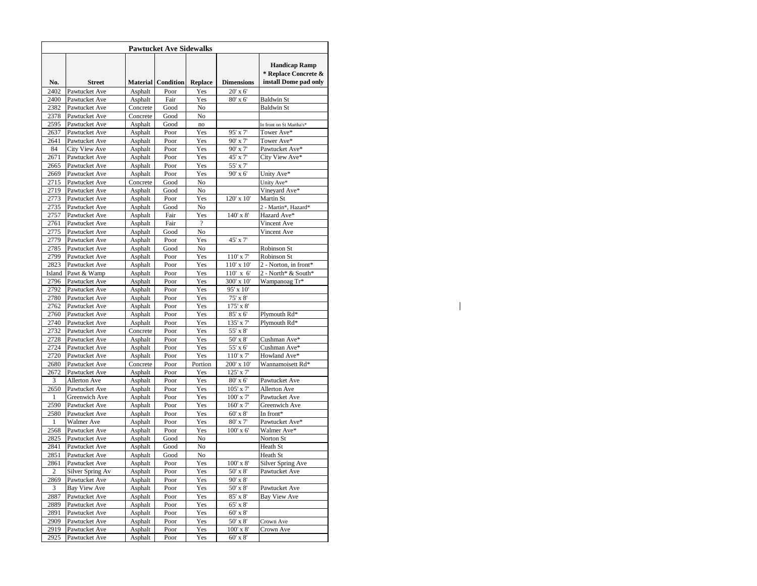| <b>Pawtucket Ave Sidewalks</b> |                                |                    |                    |                          |                   |                                                                       |  |  |  |  |
|--------------------------------|--------------------------------|--------------------|--------------------|--------------------------|-------------------|-----------------------------------------------------------------------|--|--|--|--|
| No.                            | <b>Street</b>                  |                    | Material Condition | Replace                  | <b>Dimensions</b> | <b>Handicap Ramp</b><br>* Replace Concrete &<br>install Dome pad only |  |  |  |  |
| 2402                           | Pawtucket Ave                  | Asphalt            | Poor               | Yes                      | 20' x 6'          |                                                                       |  |  |  |  |
| 2400                           | Pawtucket Ave                  | Asphalt            | Fair               | Yes                      | 80' x 6'          | <b>Baldwin St</b>                                                     |  |  |  |  |
| 2382                           | Pawtucket Ave                  | Concrete           | Good               | No                       |                   | <b>Baldwin St</b>                                                     |  |  |  |  |
| 2378                           | Pawtucket Ave                  | Concrete           | Good               | No                       |                   |                                                                       |  |  |  |  |
| 2595                           | Pawtucket Ave                  | Asphalt            | Good               | no                       |                   | In front on St Martha's*                                              |  |  |  |  |
| 2637                           | Pawtucket Ave                  | Asphalt            | Poor               | Yes                      | 95' x 7'          | Tower Ave*                                                            |  |  |  |  |
| 2641                           | Pawtucket Ave                  | Asphalt            | Poor               | Yes                      | 90' x 7'          | Tower Ave*                                                            |  |  |  |  |
| 84                             | City View Ave                  | Asphalt            | Poor               | Yes                      | 90' x 7'          | Pawtucket Ave*                                                        |  |  |  |  |
| 2671                           | Pawtucket Ave                  | Asphalt            | Poor               | Yes                      | 45' x 7'          | City View Ave*                                                        |  |  |  |  |
| 2665                           | Pawtucket Ave                  | Asphalt            | Poor               | Yes                      | 55' x 7'          |                                                                       |  |  |  |  |
| 2669                           | Pawtucket Ave                  | Asphalt            | Poor               | Yes                      | 90' x 6'          | Unity Ave*                                                            |  |  |  |  |
| 2715                           | Pawtucket Ave                  | Concrete           | Good               | No                       |                   | Unity Ave*                                                            |  |  |  |  |
| 2719                           | Pawtucket Ave                  | Asphalt            | Good               | No                       |                   | Vineyard Ave*                                                         |  |  |  |  |
| 2773                           | Pawtucket Ave                  | Asphalt            | Poor               | Yes                      | 120' x 10'        | Martin St                                                             |  |  |  |  |
| 2735                           | Pawtucket Ave                  | Asphalt            | Good               | No                       |                   | 2 - Martin*, Hazard*                                                  |  |  |  |  |
| 2757                           | Pawtucket Ave                  | Asphalt            | Fair               | Yes                      | 140' x 8'         | Hazard Ave*                                                           |  |  |  |  |
| 2761                           | Pawtucket Ave                  | Asphalt            | Fair               | $\overline{\mathcal{L}}$ |                   | Vincent Ave                                                           |  |  |  |  |
| 2775                           | Pawtucket Ave                  | Asphalt            | Good               | No                       |                   | Vincent Ave                                                           |  |  |  |  |
| 2779                           | Pawtucket Ave                  | Asphalt            | Poor               | Yes                      | 45' x 7'          |                                                                       |  |  |  |  |
| 2785                           | Pawtucket Ave                  | Asphalt            | Good               | No                       |                   | Robinson St                                                           |  |  |  |  |
| 2799                           | Pawtucket Ave                  | Asphalt            | Poor               | Yes                      | $110'$ x $7'$     | Robinson St                                                           |  |  |  |  |
| 2823                           | Pawtucket Ave                  | Asphalt            | Poor               | Yes                      | 110' x 10'        | 2 - Norton, in front*                                                 |  |  |  |  |
| Island                         | Pawt & Wamp                    | Asphalt            | Poor               | Yes                      | $110'$ x 6'       | 2 - North* & South*                                                   |  |  |  |  |
| 2796                           | Pawtucket Ave                  | Asphalt            | Poor               | Yes                      | 300' x 10'        | Wampanoag Tr*                                                         |  |  |  |  |
| 2792                           |                                |                    | Poor               | Yes                      | 95' x 10'         |                                                                       |  |  |  |  |
| 2780                           | Pawtucket Ave<br>Pawtucket Ave | Asphalt<br>Asphalt | Poor               | Yes                      | 75' x 8'          |                                                                       |  |  |  |  |
| 2762                           | Pawtucket Ave                  | Asphalt            | Poor               | Yes                      | 175' x 8'         |                                                                       |  |  |  |  |
| 2760                           | Pawtucket Ave                  | Asphalt            | Poor               | Yes                      | 85' x 6'          | Plymouth Rd*                                                          |  |  |  |  |
| 2740                           |                                | Asphalt            | Poor               | Yes                      | 135' x 7'         | Plymouth Rd*                                                          |  |  |  |  |
| 2732                           | Pawtucket Ave<br>Pawtucket Ave | Concrete           | Poor               | Yes                      | 55' x 8'          |                                                                       |  |  |  |  |
|                                |                                |                    | Poor               |                          |                   |                                                                       |  |  |  |  |
| 2728<br>2724                   | Pawtucket Ave                  | Asphalt            | Poor               | Yes<br>Yes               | $50'$ x $8'$      | Cushman Ave*                                                          |  |  |  |  |
|                                | Pawtucket Ave                  | Asphalt            |                    |                          | 55' x 6'          | Cushman Ave*                                                          |  |  |  |  |
| 2720                           | Pawtucket Ave                  | Asphalt            | Poor               | Yes                      | 110' x 7'         | Howland Ave*                                                          |  |  |  |  |
| 2680                           | Pawtucket Ave                  | Concrete           | Poor               | Portion                  | 200' x 10'        | Wannamoisett Rd*                                                      |  |  |  |  |
| 2672                           | Pawtucket Ave                  | Asphalt            | Poor               | Yes                      | 125' x 7'         |                                                                       |  |  |  |  |
| 3                              | <b>Allerton Ave</b>            | Asphalt            | Poor               | Yes                      | 80' x 6'          | Pawtucket Ave                                                         |  |  |  |  |
| 2650                           | Pawtucket Ave                  | Asphalt            | Poor               | Yes                      | 105' x 7'         | Allerton Ave                                                          |  |  |  |  |
| $\mathbf{1}$                   | Greenwich Ave                  | Asphalt            | Poor               | Yes                      | 100' x 7'         | Pawtucket Ave                                                         |  |  |  |  |
| 2590                           | Pawtucket Ave                  | Asphalt            | Poor               | Yes                      | 160' x 7'         | Greenwich Ave                                                         |  |  |  |  |
| 2580                           | Pawtucket Ave                  | Asphalt            | Poor               | Yes                      | 60' x 8'          | In front*                                                             |  |  |  |  |
| 1                              | Walmer Ave                     | Asphalt            | Poor               | Yes                      | 80' x 7'          | Pawtucket Ave*                                                        |  |  |  |  |
| 2568                           | Pawtucket Ave                  | Asphalt            | Poor               | Yes                      | 100' x 6'         | Walmer Ave*                                                           |  |  |  |  |
| 2825                           | Pawtucket Ave                  | Asphalt            | Good               | $_{\rm No}$              |                   | Norton St                                                             |  |  |  |  |
| 2841                           | Pawtucket Ave                  | Asphalt            | Good               | No                       |                   | Heath St                                                              |  |  |  |  |
| 2851                           | Pawtucket Ave                  | Asphalt            | Good               | No                       |                   | Heath St                                                              |  |  |  |  |
| 2861                           | Pawtucket Ave                  | Asphalt            | Poor               | Yes                      | 100' x 8'         | <b>Silver Spring Ave</b>                                              |  |  |  |  |
| $\overline{c}$                 | Silver Spring Av               | Asphalt            | Poor               | Yes                      | 50' x 8'          | Pawtucket Ave                                                         |  |  |  |  |
| 2869                           | Pawtucket Ave                  | Asphalt            | Poor               | Yes                      | 90' x 8'          |                                                                       |  |  |  |  |
| 3                              | Bay View Ave                   | Asphalt            | Poor               | Yes                      | $50'$ x $8'$      | Pawtucket Ave                                                         |  |  |  |  |
| 2887                           | Pawtucket Ave                  | Asphalt            | Poor               | Yes                      | 85' x 8'          | Bay View Ave                                                          |  |  |  |  |
| 2889                           | Pawtucket Ave                  | Asphalt            | Poor               | Yes                      | 65' x 8'          |                                                                       |  |  |  |  |
| 2891                           | Pawtucket Ave                  | Asphalt            | Poor               | Yes                      | 60' x 8'          |                                                                       |  |  |  |  |
| 2909                           | Pawtucket Ave                  | Asphalt            | Poor               | Yes                      | 50' x 8'          | Crown Ave                                                             |  |  |  |  |
| 2919                           | Pawtucket Ave                  | Asphalt            | Poor               | Yes                      | 100' x 8'         | Crown Ave                                                             |  |  |  |  |
| 2925                           | Pawtucket Ave                  | Asphalt            | Poor               | Yes                      | $60'$ x $8'$      |                                                                       |  |  |  |  |

 $\mathbf{L}$